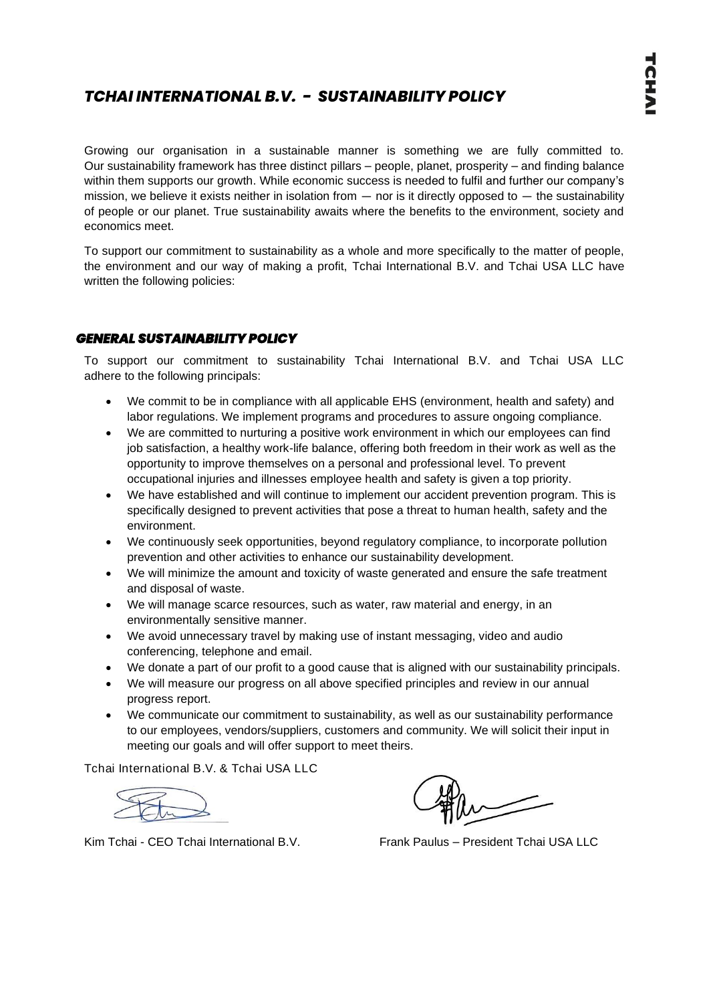# *TCHAI INTERNATIONAL B.V. - SUSTAINABILITY POLICY*

Growing our organisation in a sustainable manner is something we are fully committed to. Our sustainability framework has three distinct pillars – people, planet, prosperity – and finding balance within them supports our growth. While economic success is needed to fulfil and further our company's mission, we believe it exists neither in isolation from  $-$  nor is it directly opposed to  $-$  the sustainability of people or our planet. True sustainability awaits where the benefits to the environment, society and economics meet.

To support our commitment to sustainability as a whole and more specifically to the matter of people, the environment and our way of making a profit, Tchai International B.V. and Tchai USA LLC have written the following policies:

### *GENERAL SUSTAINABILITY POLICY*

To support our commitment to sustainability Tchai International B.V. and Tchai USA LLC adhere to the following principals:

- We commit to be in compliance with all applicable EHS (environment, health and safety) and labor regulations. We implement programs and procedures to assure ongoing compliance.
- We are committed to nurturing a positive work environment in which our employees can find job satisfaction, a healthy work-life balance, offering both freedom in their work as well as the opportunity to improve themselves on a personal and professional level. To prevent occupational injuries and illnesses employee health and safety is given a top priority.
- We have established and will continue to implement our accident prevention program. This is specifically designed to prevent activities that pose a threat to human health, safety and the environment.
- We continuously seek opportunities, beyond regulatory compliance, to incorporate pollution prevention and other activities to enhance our sustainability development.
- We will minimize the amount and toxicity of waste generated and ensure the safe treatment and disposal of waste.
- We will manage scarce resources, such as water, raw material and energy, in an environmentally sensitive manner.
- We avoid unnecessary travel by making use of instant messaging, video and audio conferencing, telephone and email.
- We donate a part of our profit to a good cause that is aligned with our sustainability principals.
- We will measure our progress on all above specified principles and review in our annual progress report.
- We communicate our commitment to sustainability, as well as our sustainability performance to our employees, vendors/suppliers, customers and community. We will solicit their input in meeting our goals and will offer support to meet theirs.

Tchai International B.V. & Tchai USA LLC

Kim Tchai - CEO Tchai International B.V. Frank Paulus – President Tchai USA LLC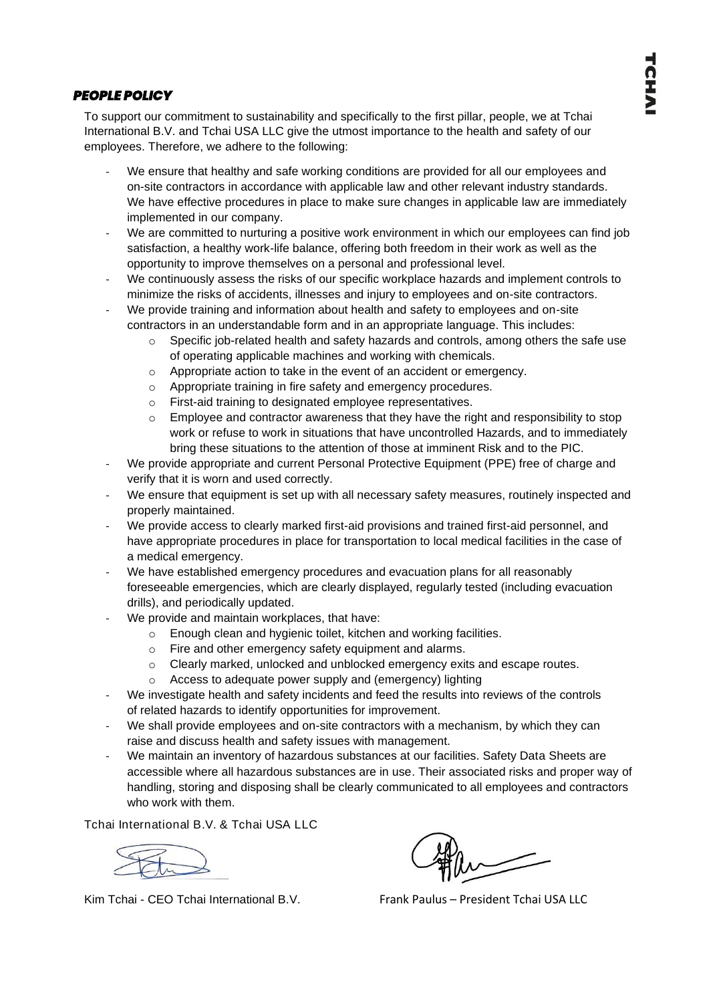## *PEOPLE POLICY*

To support our commitment to sustainability and specifically to the first pillar, people, we at Tchai International B.V. and Tchai USA LLC give the utmost importance to the health and safety of our employees. Therefore, we adhere to the following:

- We ensure that healthy and safe working conditions are provided for all our employees and on-site contractors in accordance with applicable law and other relevant industry standards. We have effective procedures in place to make sure changes in applicable law are immediately implemented in our company.
- We are committed to nurturing a positive work environment in which our employees can find job satisfaction, a healthy work-life balance, offering both freedom in their work as well as the opportunity to improve themselves on a personal and professional level.
- We continuously assess the risks of our specific workplace hazards and implement controls to minimize the risks of accidents, illnesses and injury to employees and on-site contractors.
- We provide training and information about health and safety to employees and on-site contractors in an understandable form and in an appropriate language. This includes:
	- $\circ$  Specific job-related health and safety hazards and controls, among others the safe use of operating applicable machines and working with chemicals.
	- o Appropriate action to take in the event of an accident or emergency.
	- o Appropriate training in fire safety and emergency procedures.
	- o First-aid training to designated employee representatives.
	- $\circ$  Employee and contractor awareness that they have the right and responsibility to stop work or refuse to work in situations that have uncontrolled Hazards, and to immediately bring these situations to the attention of those at imminent Risk and to the PIC.
- We provide appropriate and current Personal Protective Equipment (PPE) free of charge and verify that it is worn and used correctly.
- We ensure that equipment is set up with all necessary safety measures, routinely inspected and properly maintained.
- We provide access to clearly marked first-aid provisions and trained first-aid personnel, and have appropriate procedures in place for transportation to local medical facilities in the case of a medical emergency.
- We have established emergency procedures and evacuation plans for all reasonably foreseeable emergencies, which are clearly displayed, regularly tested (including evacuation drills), and periodically updated.
- We provide and maintain workplaces, that have:
	- o Enough clean and hygienic toilet, kitchen and working facilities.
	- o Fire and other emergency safety equipment and alarms.
	- o Clearly marked, unlocked and unblocked emergency exits and escape routes.
	- o Access to adequate power supply and (emergency) lighting
- We investigate health and safety incidents and feed the results into reviews of the controls of related hazards to identify opportunities for improvement.
- We shall provide employees and on-site contractors with a mechanism, by which they can raise and discuss health and safety issues with management.
- We maintain an inventory of hazardous substances at our facilities. Safety Data Sheets are accessible where all hazardous substances are in use. Their associated risks and proper way of handling, storing and disposing shall be clearly communicated to all employees and contractors who work with them.

Tchai International B.V. & Tchai USA LLC

Kim Tchai - CEO Tchai International B.V. Frank Paulus – President Tchai USA LLC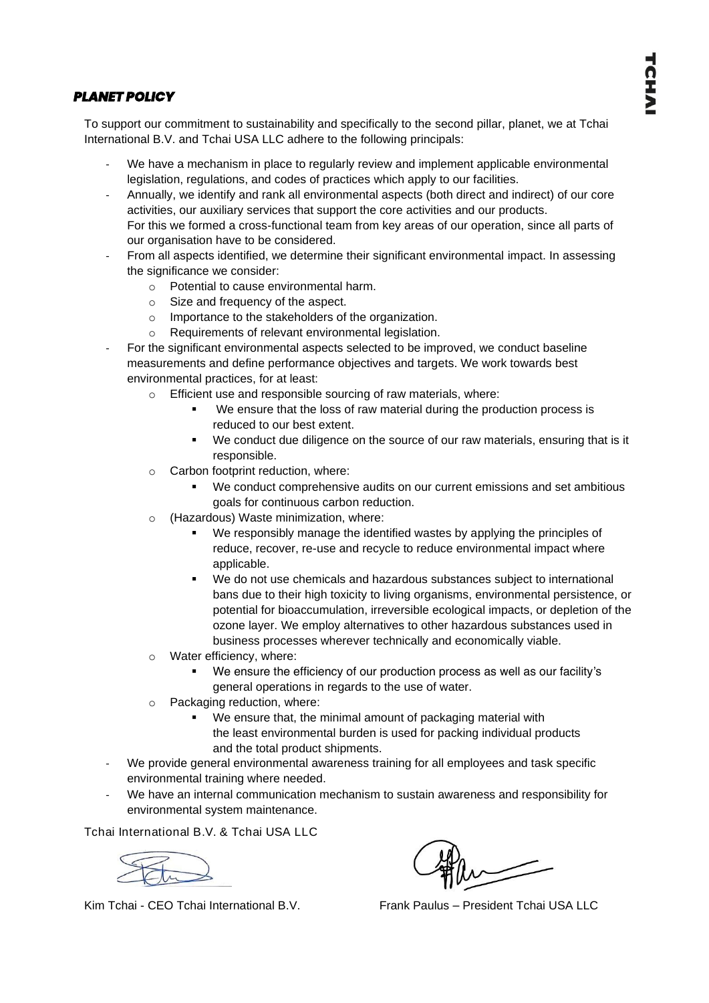## *PLANET POLICY*

To support our commitment to sustainability and specifically to the second pillar, planet, we at Tchai International B.V. and Tchai USA LLC adhere to the following principals:

- We have a mechanism in place to regularly review and implement applicable environmental legislation, regulations, and codes of practices which apply to our facilities.
- Annually, we identify and rank all environmental aspects (both direct and indirect) of our core activities, our auxiliary services that support the core activities and our products. For this we formed a cross-functional team from key areas of our operation, since all parts of our organisation have to be considered.
- From all aspects identified, we determine their significant environmental impact. In assessing the significance we consider:
	- o Potential to cause environmental harm.
	- o Size and frequency of the aspect.
	- o Importance to the stakeholders of the organization.
	- o Requirements of relevant environmental legislation.
- For the significant environmental aspects selected to be improved, we conduct baseline measurements and define performance objectives and targets. We work towards best environmental practices, for at least:
	- o Efficient use and responsible sourcing of raw materials, where:
		- We ensure that the loss of raw material during the production process is reduced to our best extent.
		- We conduct due diligence on the source of our raw materials, ensuring that is it responsible.
	- o Carbon footprint reduction, where:
		- We conduct comprehensive audits on our current emissions and set ambitious goals for continuous carbon reduction.
	- o (Hazardous) Waste minimization, where:
		- We responsibly manage the identified wastes by applying the principles of reduce, recover, re-use and recycle to reduce environmental impact where applicable.
		- We do not use chemicals and hazardous substances subject to international bans due to their high toxicity to living organisms, environmental persistence, or potential for bioaccumulation, irreversible ecological impacts, or depletion of the ozone layer. We employ alternatives to other hazardous substances used in business processes wherever technically and economically viable.
	- o Water efficiency, where:
		- We ensure the efficiency of our production process as well as our facility's general operations in regards to the use of water.
	- o Packaging reduction, where:
		- We ensure that, the minimal amount of packaging material with the least environmental burden is used for packing individual products and the total product shipments.
- We provide general environmental awareness training for all employees and task specific environmental training where needed.
- We have an internal communication mechanism to sustain awareness and responsibility for environmental system maintenance.

Tchai International B.V. & Tchai USA LLC

Kim Tchai - CEO Tchai International B.V. Frank Paulus – President Tchai USA LLC